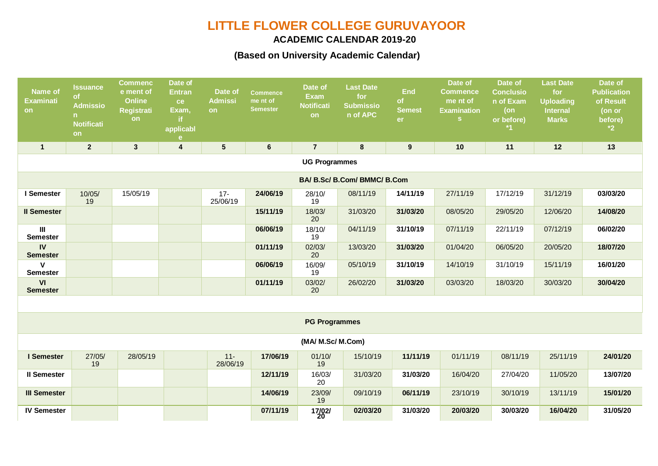# **LITTLE FLOWER COLLEGE GURUVAYOOR**

### **ACADEMIC CALENDAR 2019-20**

## **(Based on University Academic Calendar)**

| <b>Name of</b><br><b>Examinati</b><br>on | <b>Issuance</b><br><b>of</b><br><b>Admissio</b><br>$\mathsf{n}$<br><b>Notificati</b><br>on | <b>Commenc</b><br>e ment of<br><b>Online</b><br><b>Registrati</b><br>on | Date of<br><b>Entran</b><br>ce<br>Exam,<br>applicabl<br>e | Date of<br><b>Admissi</b><br><b>on</b> | <b>Commence</b><br>me nt of<br><b>Semester</b> | Date of<br><b>Exam</b><br><b>Notificati</b><br><b>on</b> | <b>Last Date</b><br>for<br><b>Submissio</b><br>n of APC | <b>End</b><br><b>of</b><br><b>Semest</b><br>er | Date of<br><b>Commence</b><br>me nt of<br><b>Examination</b><br>S. | Date of<br><b>Conclusio</b><br>n of Exam<br>$($ on<br>or before) | <b>Last Date</b><br>for<br><b>Uploading</b><br><b>Internal</b><br><b>Marks</b> | Date of<br><b>Publication</b><br>of Result<br>(on or<br>before)<br>$*2$ |
|------------------------------------------|--------------------------------------------------------------------------------------------|-------------------------------------------------------------------------|-----------------------------------------------------------|----------------------------------------|------------------------------------------------|----------------------------------------------------------|---------------------------------------------------------|------------------------------------------------|--------------------------------------------------------------------|------------------------------------------------------------------|--------------------------------------------------------------------------------|-------------------------------------------------------------------------|
| $\mathbf{1}$                             | $\mathbf{2}$                                                                               | $\mathbf{3}$                                                            | $\overline{\mathbf{4}}$                                   | $5\phantom{.0}$                        | $6\phantom{a}$                                 | $\overline{7}$                                           | 8                                                       | $\boldsymbol{9}$                               | 10                                                                 | 11                                                               | 12                                                                             | 13                                                                      |
| <b>UG Programmes</b>                     |                                                                                            |                                                                         |                                                           |                                        |                                                |                                                          |                                                         |                                                |                                                                    |                                                                  |                                                                                |                                                                         |
| BA/ B.Sc/ B.Com/ BMMC/ B.Com             |                                                                                            |                                                                         |                                                           |                                        |                                                |                                                          |                                                         |                                                |                                                                    |                                                                  |                                                                                |                                                                         |
| I Semester                               | 10/05/<br>19                                                                               | 15/05/19                                                                |                                                           | $17 -$<br>25/06/19                     | 24/06/19                                       | 28/10/<br>19                                             | 08/11/19                                                | 14/11/19                                       | 27/11/19                                                           | 17/12/19                                                         | 31/12/19                                                                       | 03/03/20                                                                |
| <b>Il Semester</b>                       |                                                                                            |                                                                         |                                                           |                                        | 15/11/19                                       | 18/03/<br>20                                             | 31/03/20                                                | 31/03/20                                       | 08/05/20                                                           | 29/05/20                                                         | 12/06/20                                                                       | 14/08/20                                                                |
| $\mathbf{III}$<br><b>Semester</b>        |                                                                                            |                                                                         |                                                           |                                        | 06/06/19                                       | 18/10/<br>19                                             | 04/11/19                                                | 31/10/19                                       | 07/11/19                                                           | 22/11/19                                                         | 07/12/19                                                                       | 06/02/20                                                                |
| $\mathsf{IV}$<br><b>Semester</b>         |                                                                                            |                                                                         |                                                           |                                        | 01/11/19                                       | 02/03/<br>20                                             | 13/03/20                                                | 31/03/20                                       | 01/04/20                                                           | 06/05/20                                                         | 20/05/20                                                                       | 18/07/20                                                                |
| $\mathsf{V}$<br><b>Semester</b>          |                                                                                            |                                                                         |                                                           |                                        | 06/06/19                                       | 16/09/<br>19                                             | 05/10/19                                                | 31/10/19                                       | 14/10/19                                                           | 31/10/19                                                         | 15/11/19                                                                       | 16/01/20                                                                |
| VI<br><b>Semester</b>                    |                                                                                            |                                                                         |                                                           |                                        | 01/11/19                                       | 03/02/<br>20                                             | 26/02/20                                                | 31/03/20                                       | 03/03/20                                                           | 18/03/20                                                         | 30/03/20                                                                       | 30/04/20                                                                |
|                                          |                                                                                            |                                                                         |                                                           |                                        |                                                |                                                          |                                                         |                                                |                                                                    |                                                                  |                                                                                |                                                                         |
| <b>PG Programmes</b>                     |                                                                                            |                                                                         |                                                           |                                        |                                                |                                                          |                                                         |                                                |                                                                    |                                                                  |                                                                                |                                                                         |
| (MA/ M.Sc/ M.Com)                        |                                                                                            |                                                                         |                                                           |                                        |                                                |                                                          |                                                         |                                                |                                                                    |                                                                  |                                                                                |                                                                         |
| I Semester                               | 27/05/<br>19                                                                               | 28/05/19                                                                |                                                           | $11 -$<br>28/06/19                     | 17/06/19                                       | 01/10/<br>19                                             | 15/10/19                                                | 11/11/19                                       | 01/11/19                                                           | 08/11/19                                                         | 25/11/19                                                                       | 24/01/20                                                                |
| <b>II Semester</b>                       |                                                                                            |                                                                         |                                                           |                                        | 12/11/19                                       | 16/03/<br>20                                             | 31/03/20                                                | 31/03/20                                       | 16/04/20                                                           | 27/04/20                                                         | 11/05/20                                                                       | 13/07/20                                                                |
| <b>III Semester</b>                      |                                                                                            |                                                                         |                                                           |                                        | 14/06/19                                       | 23/09/<br>19                                             | 09/10/19                                                | 06/11/19                                       | 23/10/19                                                           | 30/10/19                                                         | 13/11/19                                                                       | 15/01/20                                                                |
| <b>IV Semester</b>                       |                                                                                            |                                                                         |                                                           |                                        | 07/11/19                                       | 17/02/<br>20                                             | 02/03/20                                                | 31/03/20                                       | 20/03/20                                                           | 30/03/20                                                         | 16/04/20                                                                       | 31/05/20                                                                |